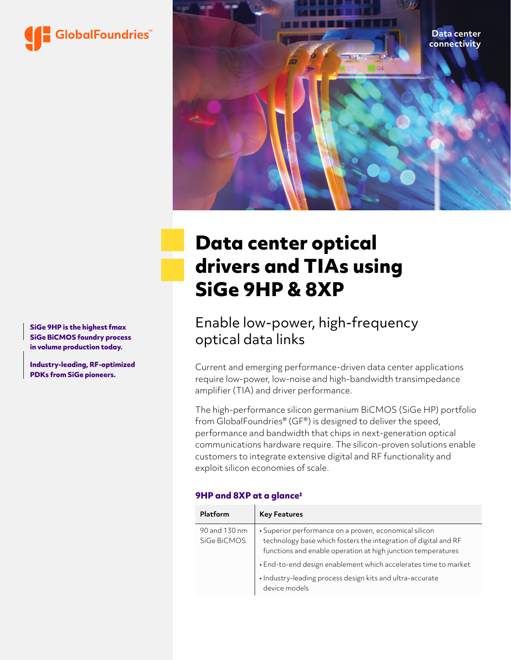



# **Data center optical drivers and TIAs using SiGe 9HP & 8XP**

# Enable low-power, high-frequency optical data links

Current and emerging performance-driven data center applications require low-power, low-noise and high-bandwidth transimpedance amplifier (TIA) and driver performance.

The high-performance silicon germanium BiCMOS (SiGe HP) portfolio from GlobalFoundries® (GF®) is designed to deliver the speed, performance and bandwidth that chips in next-generation optical communications hardware require. The silicon-proven solutions enable customers to integrate extensive digital and RF functionality and exploit silicon economies of scale.

### **9HP and 8XP at a glance‡**

| Platform                     | <b>Key Features</b>                                                                                                                                                                       |
|------------------------------|-------------------------------------------------------------------------------------------------------------------------------------------------------------------------------------------|
| 90 and 130 nm<br>SiGe BiCMOS | • Superior performance on a proven, economical silicon<br>technology base which fosters the integration of digital and RF<br>functions and enable operation at high junction temperatures |
|                              | • End-to-end design enablement which accelerates time to market                                                                                                                           |
|                              | · Industry-leading process design kits and ultra-accurate<br>device models                                                                                                                |

**SiGe 9HP is the highest fmax SiGe BiCMOS foundry process in volume production today.** 

**Industry-leading, RF-optimized PDKs from SiGe pioneers.**